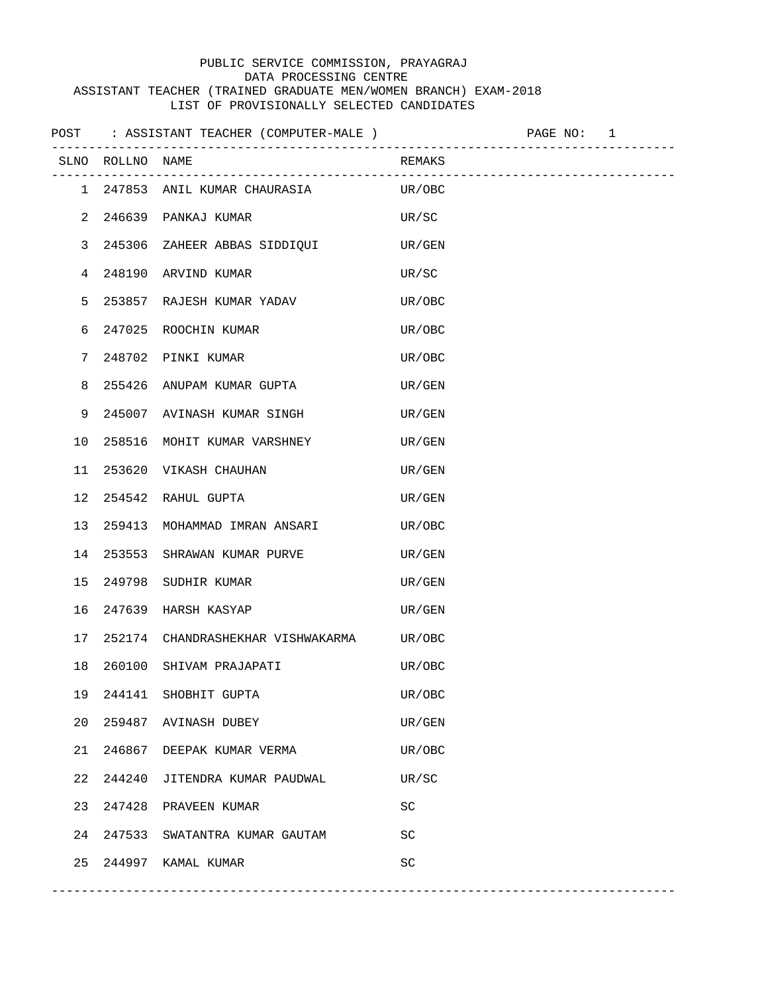## PUBLIC SERVICE COMMISSION, PRAYAGRAJ DATA PROCESSING CENTRE ASSISTANT TEACHER (TRAINED GRADUATE MEN/WOMEN BRANCH) EXAM-2018 LIST OF PROVISIONALLY SELECTED CANDIDATES

|    |                  | POST : ASSISTANT TEACHER (COMPUTER-MALE )    PAGE NO: 1 |        |  |
|----|------------------|---------------------------------------------------------|--------|--|
|    | SLNO ROLLNO NAME |                                                         | REMAKS |  |
|    |                  | 1 247853 ANIL KUMAR CHAURASIA UR/OBC                    |        |  |
|    |                  | 2 246639 PANKAJ KUMAR                                   | UR/SC  |  |
|    |                  | 3 245306 ZAHEER ABBAS SIDDIQUI                          | UR/GEN |  |
|    |                  | 4 248190 ARVIND KUMAR                                   | UR/SC  |  |
| 5  |                  | 253857 RAJESH KUMAR YADAV                               | UR/OBC |  |
| 6  |                  | 247025 ROOCHIN KUMAR                                    | UR/OBC |  |
| 7  |                  | 248702 PINKI KUMAR                                      | UR/OBC |  |
| 8  |                  | 255426 ANUPAM KUMAR GUPTA                               | UR/GEN |  |
| 9  |                  | 245007 AVINASH KUMAR SINGH                              | UR/GEN |  |
| 10 |                  | 258516 MOHIT KUMAR VARSHNEY                             | UR/GEN |  |
| 11 |                  | 253620 VIKASH CHAUHAN                                   | UR/GEN |  |
| 12 |                  | 254542 RAHUL GUPTA                                      | UR/GEN |  |
| 13 |                  | 259413 MOHAMMAD IMRAN ANSARI                            | UR/OBC |  |
| 14 |                  | 253553 SHRAWAN KUMAR PURVE                              | UR/GEN |  |
| 15 |                  | 249798 SUDHIR KUMAR                                     | UR/GEN |  |
| 16 |                  | 247639   HARSH  KASYAP                                  | UR/GEN |  |
| 17 |                  | 252174 CHANDRASHEKHAR VISHWAKARMA                       | UR/OBC |  |
| 18 |                  | 260100 SHIVAM PRAJAPATI                                 | UR/OBC |  |
| 19 | 244141           | SHOBHIT GUPTA                                           | UR/OBC |  |
| 20 |                  | 259487 AVINASH DUBEY                                    | UR/GEN |  |
| 21 |                  | 246867 DEEPAK KUMAR VERMA                               | UR/OBC |  |
| 22 | 244240           | JITENDRA KUMAR PAUDWAL                                  | UR/SC  |  |
| 23 |                  | 247428 PRAVEEN KUMAR                                    | SC     |  |
| 24 |                  | 247533 SWATANTRA KUMAR GAUTAM                           | SC     |  |
| 25 |                  | 244997 KAMAL KUMAR                                      | SC     |  |
|    |                  |                                                         |        |  |

------------------------------------------------------------------------------------